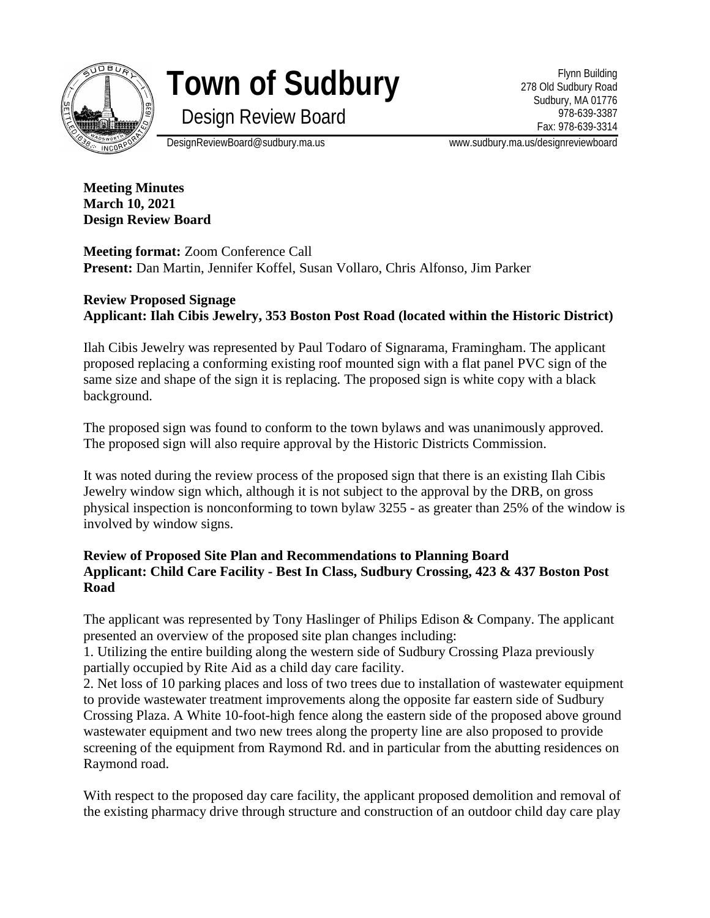

## **Town of Sudbury**

Flynn Building 278 Old Sudbury Road Sudbury, MA 01776 978-639-3387 Fax: 978-639-3314

Design Review Board

DesignReviewBoard@sudbury.ma.us www.sudbury.ma.us/designreviewboard

**Meeting Minutes March 10, 2021 Design Review Board**

**Meeting format:** Zoom Conference Call **Present:** Dan Martin, Jennifer Koffel, Susan Vollaro, Chris Alfonso, Jim Parker

## **Review Proposed Signage Applicant: Ilah Cibis Jewelry, 353 Boston Post Road (located within the Historic District)**

Ilah Cibis Jewelry was represented by Paul Todaro of Signarama, Framingham. The applicant proposed replacing a conforming existing roof mounted sign with a flat panel PVC sign of the same size and shape of the sign it is replacing. The proposed sign is white copy with a black background.

The proposed sign was found to conform to the town bylaws and was unanimously approved. The proposed sign will also require approval by the Historic Districts Commission.

It was noted during the review process of the proposed sign that there is an existing Ilah Cibis Jewelry window sign which, although it is not subject to the approval by the DRB, on gross physical inspection is nonconforming to town bylaw 3255 - as greater than 25% of the window is involved by window signs.

## **Review of Proposed Site Plan and Recommendations to Planning Board Applicant: Child Care Facility - Best In Class, Sudbury Crossing, 423 & 437 Boston Post Road**

The applicant was represented by Tony Haslinger of Philips Edison & Company. The applicant presented an overview of the proposed site plan changes including:

1. Utilizing the entire building along the western side of Sudbury Crossing Plaza previously partially occupied by Rite Aid as a child day care facility.

2. Net loss of 10 parking places and loss of two trees due to installation of wastewater equipment to provide wastewater treatment improvements along the opposite far eastern side of Sudbury Crossing Plaza. A White 10-foot-high fence along the eastern side of the proposed above ground wastewater equipment and two new trees along the property line are also proposed to provide screening of the equipment from Raymond Rd. and in particular from the abutting residences on Raymond road.

With respect to the proposed day care facility, the applicant proposed demolition and removal of the existing pharmacy drive through structure and construction of an outdoor child day care play